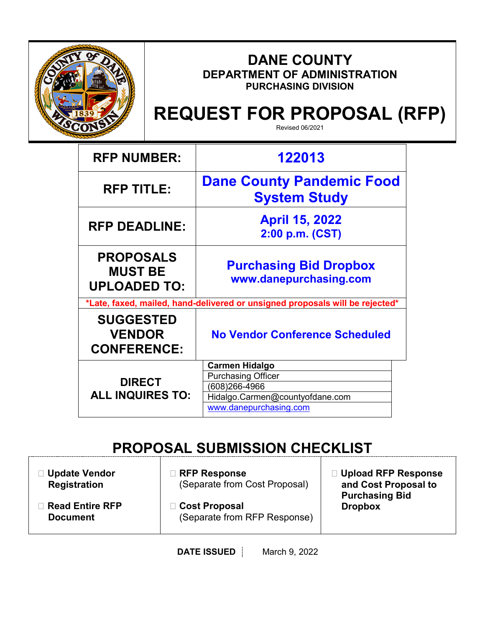

Г

# **DANE COUNTY DEPARTMENT OF ADMINISTRATION PURCHASING DIVISION**

# **REQUEST FOR PROPOSAL (RFP)**

Revised 06/2021

| <b>RFP NUMBER:</b>                                                           | 122013                                                                                                                           |  |
|------------------------------------------------------------------------------|----------------------------------------------------------------------------------------------------------------------------------|--|
| <b>RFP TITLE:</b>                                                            | <b>Dane County Pandemic Food</b><br><b>System Study</b>                                                                          |  |
| <b>RFP DEADLINE:</b>                                                         | <b>April 15, 2022</b><br>2:00 p.m. (CST)                                                                                         |  |
| <b>PROPOSALS</b><br><b>MUST BE</b><br><b>UPLOADED TO:</b>                    | <b>Purchasing Bid Dropbox</b><br>www.danepurchasing.com                                                                          |  |
| *Late, faxed, mailed, hand-delivered or unsigned proposals will be rejected* |                                                                                                                                  |  |
| <b>SUGGESTED</b><br><b>VENDOR</b><br><b>CONFERENCE:</b>                      | <b>No Vendor Conference Scheduled</b>                                                                                            |  |
| <b>DIRECT</b><br><b>ALL INQUIRES TO:</b>                                     | <b>Carmen Hidalgo</b><br><b>Purchasing Officer</b><br>(608)266-4966<br>Hidalgo.Carmen@countyofdane.com<br>www.danepurchasing.com |  |

# **PROPOSAL SUBMISSION CHECKLIST**

| <b>□ Update Vendor</b><br><b>Registration</b> | $\Box$ RFP Response<br>(Separate from Cost Proposal) | □ Upload RFP Response<br>and Cost Proposal to<br><b>Purchasing Bid</b><br><b>Dropbox</b> |
|-----------------------------------------------|------------------------------------------------------|------------------------------------------------------------------------------------------|
| <b>Read Entire RFP</b><br><b>Document</b>     | □ Cost Proposal<br>(Separate from RFP Response)      |                                                                                          |

**DATE ISSUED** March 9, 2022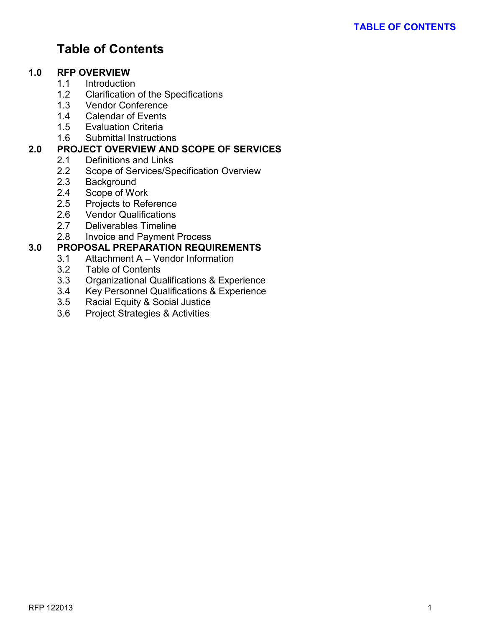# **Table of Contents**

#### **1.0 RFP OVERVIEW**

- 1.1 Introduction
- 1.2 Clarification of the Specifications<br>1.3 Vendor Conference
- **Vendor Conference**
- 1.4 Calendar of Events
- 1.5 Evaluation Criteria
- 1.6 Submittal Instructions

# **2.0 PROJECT OVERVIEW AND SCOPE OF SERVICES**

- 2.1 Definitions and Links<br>2.2 Scope of Services/Sp
- Scope of Services/Specification Overview
- 2.3 Background<br>2.4 Scope of Wo
- Scope of Work
- 2.5 Projects to Reference
- 2.6 Vendor Qualifications
- 2.7 Deliverables Timeline
- 2.8 Invoice and Payment Process

# **3.0 PROPOSAL PREPARATION REQUIREMENTS**

- Attachment A Vendor Information
- 3.2 Table of Contents<br>3.3 Organizational Que
- 3.3 Organizational Qualifications & Experience
- 3.4 Key Personnel Qualifications & Experience
- 3.5 Racial Equity & Social Justice
- 3.6 Project Strategies & Activities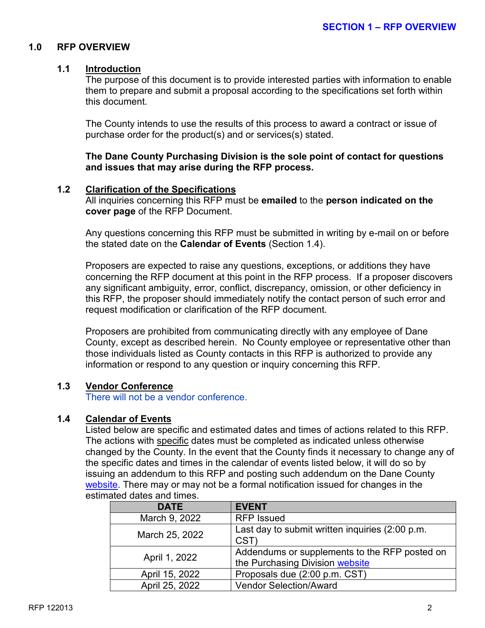#### **1.0 RFP OVERVIEW**

#### **1.1 Introduction**

The purpose of this document is to provide interested parties with information to enable them to prepare and submit a proposal according to the specifications set forth within this document.

The County intends to use the results of this process to award a contract or issue of purchase order for the product(s) and or services(s) stated.

**The Dane County Purchasing Division is the sole point of contact for questions and issues that may arise during the RFP process.**

#### **1.2 Clarification of the Specifications**

All inquiries concerning this RFP must be **emailed** to the **person indicated on the cover page** of the RFP Document.

Any questions concerning this RFP must be submitted in writing by e-mail on or before the stated date on the **Calendar of Events** (Section 1.4).

Proposers are expected to raise any questions, exceptions, or additions they have concerning the RFP document at this point in the RFP process. If a proposer discovers any significant ambiguity, error, conflict, discrepancy, omission, or other deficiency in this RFP, the proposer should immediately notify the contact person of such error and request modification or clarification of the RFP document.

Proposers are prohibited from communicating directly with any employee of Dane County, except as described herein. No County employee or representative other than those individuals listed as County contacts in this RFP is authorized to provide any information or respond to any question or inquiry concerning this RFP.

#### **1.3 Vendor Conference**

There will not be a vendor conference.

#### **1.4 Calendar of Events**

Listed below are specific and estimated dates and times of actions related to this RFP. The actions with specific dates must be completed as indicated unless otherwise changed by the County. In the event that the County finds it necessary to change any of the specific dates and times in the calendar of events listed below, it will do so by issuing an addendum to this RFP and posting such addendum on the Dane County [website.](http://www.danepurchasing.com/) There may or may not be a formal notification issued for changes in the estimated dates and times.

| <b>DATE</b>    | <b>EVENT</b>                                                                     |
|----------------|----------------------------------------------------------------------------------|
| March 9, 2022  | <b>RFP</b> Issued                                                                |
| March 25, 2022 | Last day to submit written inquiries (2:00 p.m.<br>CST                           |
| April 1, 2022  | Addendums or supplements to the RFP posted on<br>the Purchasing Division website |
| April 15, 2022 | Proposals due (2:00 p.m. CST)                                                    |
| April 25, 2022 | <b>Vendor Selection/Award</b>                                                    |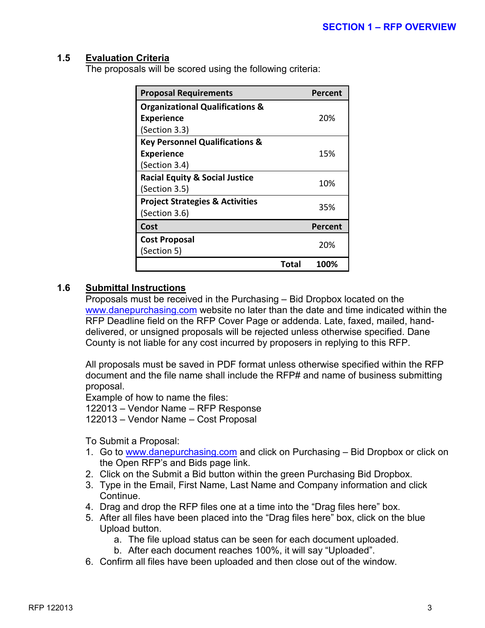#### **1.5 Evaluation Criteria**

The proposals will be scored using the following criteria:

| <b>Proposal Requirements</b>               | <b>Percent</b> |
|--------------------------------------------|----------------|
| <b>Organizational Qualifications &amp;</b> |                |
| <b>Experience</b>                          | 20%            |
| (Section 3.3)                              |                |
| <b>Key Personnel Qualifications &amp;</b>  |                |
| <b>Experience</b>                          | 15%            |
| (Section 3.4)                              |                |
| <b>Racial Equity &amp; Social Justice</b>  | 10%            |
| (Section 3.5)                              |                |
| <b>Project Strategies &amp; Activities</b> | 35%            |
| (Section 3.6)                              |                |
| Cost                                       | Percent        |
| <b>Cost Proposal</b>                       | 20%            |
| (Section 5)                                |                |
|                                            | Total<br>100%  |

#### **1.6 Submittal Instructions**

Proposals must be received in the Purchasing – Bid Dropbox located on the [www.danepurchasing.com](http://www.danepurchasing.com/) website no later than the date and time indicated within the RFP Deadline field on the RFP Cover Page or addenda. Late, faxed, mailed, handdelivered, or unsigned proposals will be rejected unless otherwise specified. Dane County is not liable for any cost incurred by proposers in replying to this RFP.

All proposals must be saved in PDF format unless otherwise specified within the RFP document and the file name shall include the RFP# and name of business submitting proposal.

Example of how to name the files: 122013 – Vendor Name – RFP Response 122013 – Vendor Name – Cost Proposal

To Submit a Proposal:

- 1. Go to [www.danepurchasing.com](http://www.danepurchasing.com/) and click on Purchasing Bid Dropbox or click on the Open RFP's and Bids page link.
- 2. Click on the Submit a Bid button within the green Purchasing Bid Dropbox.
- 3. Type in the Email, First Name, Last Name and Company information and click Continue.
- 4. Drag and drop the RFP files one at a time into the "Drag files here" box.
- 5. After all files have been placed into the "Drag files here" box, click on the blue Upload button.
	- a. The file upload status can be seen for each document uploaded.
	- b. After each document reaches 100%, it will say "Uploaded".
- 6. Confirm all files have been uploaded and then close out of the window.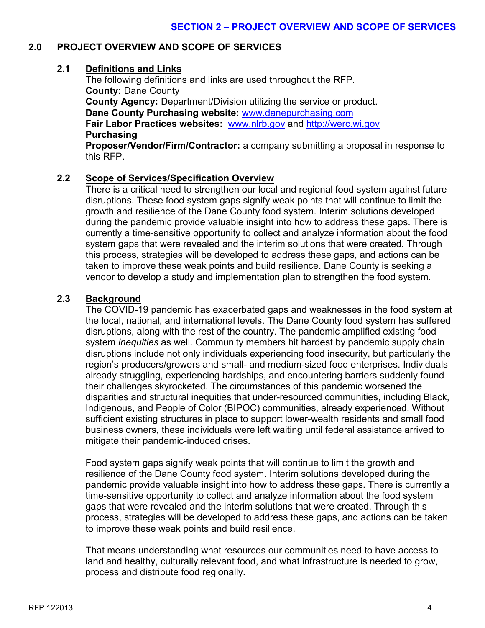# **2.0 PROJECT OVERVIEW AND SCOPE OF SERVICES**

#### **2.1 Definitions and Links**

The following definitions and links are used throughout the RFP. **County:** Dane County **County Agency:** Department/Division utilizing the service or product. **Dane County Purchasing website:** [www.danepurchasing.com](http://www.danepurchasing.com/) **Fair Labor Practices websites:** [www.nlrb.gov](http://www.nlrb.gov/) and [http://werc.wi.gov](http://werc.wi.gov/) **Purchasing**

**Proposer/Vendor/Firm/Contractor:** a company submitting a proposal in response to this RFP.

# **2.2 Scope of Services/Specification Overview**

There is a critical need to strengthen our local and regional food system against future disruptions. These food system gaps signify weak points that will continue to limit the growth and resilience of the Dane County food system. Interim solutions developed during the pandemic provide valuable insight into how to address these gaps. There is currently a time-sensitive opportunity to collect and analyze information about the food system gaps that were revealed and the interim solutions that were created. Through this process, strategies will be developed to address these gaps, and actions can be taken to improve these weak points and build resilience. Dane County is seeking a vendor to develop a study and implementation plan to strengthen the food system.

#### **2.3 Background**

The COVID-19 pandemic has exacerbated gaps and weaknesses in the food system at the local, national, and international levels. The Dane County food system has suffered disruptions, along with the rest of the country. The pandemic amplified existing food system *inequities* as well. Community members hit hardest by pandemic supply chain disruptions include not only individuals experiencing food insecurity, but particularly the region's producers/growers and small- and medium-sized food enterprises. Individuals already struggling, experiencing hardships, and encountering barriers suddenly found their challenges skyrocketed. The circumstances of this pandemic worsened the disparities and structural inequities that under-resourced communities, including Black, Indigenous, and People of Color (BIPOC) communities, already experienced. Without sufficient existing structures in place to support lower-wealth residents and small food business owners, these individuals were left waiting until federal assistance arrived to mitigate their pandemic-induced crises.

Food system gaps signify weak points that will continue to limit the growth and resilience of the Dane County food system. Interim solutions developed during the pandemic provide valuable insight into how to address these gaps. There is currently a time-sensitive opportunity to collect and analyze information about the food system gaps that were revealed and the interim solutions that were created. Through this process, strategies will be developed to address these gaps, and actions can be taken to improve these weak points and build resilience.

That means understanding what resources our communities need to have access to land and healthy, culturally relevant food, and what infrastructure is needed to grow, process and distribute food regionally.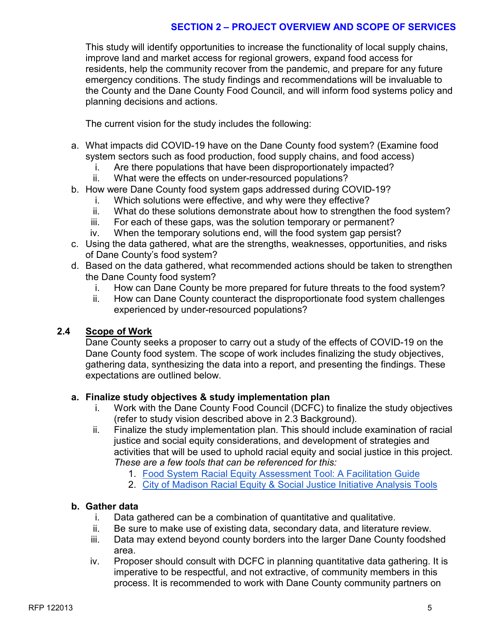This study will identify opportunities to increase the functionality of local supply chains, improve land and market access for regional growers, expand food access for residents, help the community recover from the pandemic, and prepare for any future emergency conditions. The study findings and recommendations will be invaluable to the County and the Dane County Food Council, and will inform food systems policy and planning decisions and actions.

The current vision for the study includes the following:

- a. What impacts did COVID-19 have on the Dane County food system? (Examine food system sectors such as food production, food supply chains, and food access)
	- i. Are there populations that have been disproportionately impacted?
	- ii. What were the effects on under-resourced populations?
- b. How were Dane County food system gaps addressed during COVID-19?
	- i. Which solutions were effective, and why were they effective?
	- ii. What do these solutions demonstrate about how to strengthen the food system?
	- iii. For each of these gaps, was the solution temporary or permanent?
	- iv. When the temporary solutions end, will the food system gap persist?
- c. Using the data gathered, what are the strengths, weaknesses, opportunities, and risks of Dane County's food system?
- d. Based on the data gathered, what recommended actions should be taken to strengthen the Dane County food system?
	- i. How can Dane County be more prepared for future threats to the food system?
	- ii. How can Dane County counteract the disproportionate food system challenges experienced by under-resourced populations?

# **2.4 Scope of Work**

Dane County seeks a proposer to carry out a study of the effects of COVID-19 on the Dane County food system. The scope of work includes finalizing the study objectives, gathering data, synthesizing the data into a report, and presenting the findings. These expectations are outlined below.

# **a. Finalize study objectives & study implementation plan**

- i. Work with the Dane County Food Council (DCFC) to finalize the study objectives (refer to study vision described above in 2.3 Background).
- ii. Finalize the study implementation plan. This should include examination of racial justice and social equity considerations, and development of strategies and activities that will be used to uphold racial equity and social justice in this project. *These are a few tools that can be referenced for this:*
	- 1. [Food System Racial Equity Assessment Tool: A Facilitation Guide](https://learningstore.extension.wisc.edu/products/food-system-racial-equity-assessment-tool-a-facilitation-guide-p1839?_pos=1&_sid=6039966f2&_ss=r)
	- 2. [City of Madison Racial Equity & Social Justice Initiative Analysis Tools](https://www.cityofmadison.com/civil-rights/programs/racial-equity-social-justice-initiative/analysis-tools)

# **b. Gather data**

- i. Data gathered can be a combination of quantitative and qualitative.
- ii. Be sure to make use of existing data, secondary data, and literature review.
- iii. Data may extend beyond county borders into the larger Dane County foodshed area.
- iv. Proposer should consult with DCFC in planning quantitative data gathering. It is imperative to be respectful, and not extractive, of community members in this process. It is recommended to work with Dane County community partners on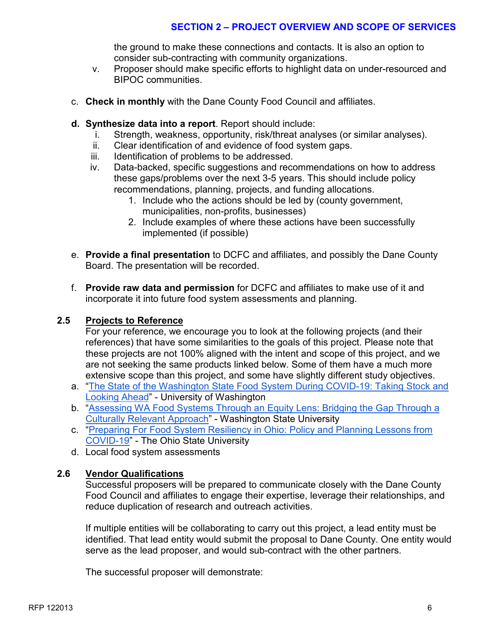the ground to make these connections and contacts. It is also an option to consider sub-contracting with community organizations.

- v. Proposer should make specific efforts to highlight data on under-resourced and BIPOC communities.
- c. **Check in monthly** with the Dane County Food Council and affiliates.
- **d. Synthesize data into a report**. Report should include:
	- i. Strength, weakness, opportunity, risk/threat analyses (or similar analyses).
	- ii. Clear identification of and evidence of food system gaps.
	- iii. Identification of problems to be addressed.
	- iv. Data-backed, specific suggestions and recommendations on how to address these gaps/problems over the next 3-5 years. This should include policy recommendations, planning, projects, and funding allocations.
		- 1. Include who the actions should be led by (county government, municipalities, non-profits, businesses)
		- 2. Include examples of where these actions have been successfully implemented (if possible)
- e. **Provide a final presentation** to DCFC and affiliates, and possibly the Dane County Board. The presentation will be recorded.
- f. **Provide raw data and permission** for DCFC and affiliates to make use of it and incorporate it into future food system assessments and planning.

#### **2.5 Projects to Reference**

For your reference, we encourage you to look at the following projects (and their references) that have some similarities to the goals of this project. Please note that these projects are not 100% aligned with the intent and scope of this project, and we are not seeking the same products linked below. Some of them have a much more extensive scope than this project, and some have slightly different study objectives.

- a. ["The State of the Washington State Food System During COVID-19: Taking Stock and](https://nutr.uw.edu/resource/washington-state-food-system-assessment-report/)  [Looking Ahead"](https://nutr.uw.edu/resource/washington-state-food-system-assessment-report/) - University of Washington
- b. ["Assessing WA Food Systems Through an Equity Lens: Bridging the Gap Through a](https://foodsystems.wsu.edu/equity-report/?mc_cid=43dc9f31e1&mc_eid=f3a4d55e92)  [Culturally Relevant Approach"](https://foodsystems.wsu.edu/equity-report/?mc_cid=43dc9f31e1&mc_eid=f3a4d55e92) - Washington State University
- c. ["Preparing For Food System Resiliency in Ohio: Policy and Planning Lessons from](https://u.osu.edu/ccwl/projects/ohio-emergency-management-and-food-systems/)  [COVID-19"](https://u.osu.edu/ccwl/projects/ohio-emergency-management-and-food-systems/) - The Ohio State University
- d. Local food system assessments

#### **2.6 Vendor Qualifications**

Successful proposers will be prepared to communicate closely with the Dane County Food Council and affiliates to engage their expertise, leverage their relationships, and reduce duplication of research and outreach activities.

If multiple entities will be collaborating to carry out this project, a lead entity must be identified. That lead entity would submit the proposal to Dane County. One entity would serve as the lead proposer, and would sub-contract with the other partners.

The successful proposer will demonstrate: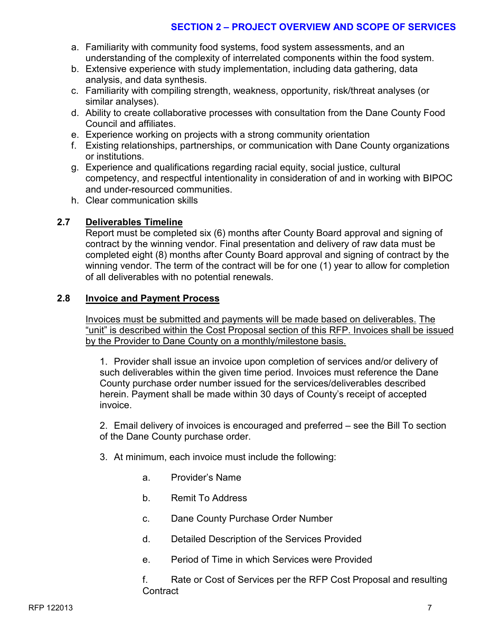- a. Familiarity with community food systems, food system assessments, and an understanding of the complexity of interrelated components within the food system.
- b. Extensive experience with study implementation, including data gathering, data analysis, and data synthesis.
- c. Familiarity with compiling strength, weakness, opportunity, risk/threat analyses (or similar analyses).
- d. Ability to create collaborative processes with consultation from the Dane County Food Council and affiliates.
- e. Experience working on projects with a strong community orientation
- f. Existing relationships, partnerships, or communication with Dane County organizations or institutions.
- g. Experience and qualifications regarding racial equity, social justice, cultural competency, and respectful intentionality in consideration of and in working with BIPOC and under-resourced communities.
- h. Clear communication skills

# **2.7 Deliverables Timeline**

Report must be completed six (6) months after County Board approval and signing of contract by the winning vendor. Final presentation and delivery of raw data must be completed eight (8) months after County Board approval and signing of contract by the winning vendor. The term of the contract will be for one (1) year to allow for completion of all deliverables with no potential renewals.

#### **2.8 Invoice and Payment Process**

Invoices must be submitted and payments will be made based on deliverables. The "unit" is described within the Cost Proposal section of this RFP. Invoices shall be issued by the Provider to Dane County on a monthly/milestone basis.

1. Provider shall issue an invoice upon completion of services and/or delivery of such deliverables within the given time period. Invoices must reference the Dane County purchase order number issued for the services/deliverables described herein. Payment shall be made within 30 days of County's receipt of accepted invoice.

2. Email delivery of invoices is encouraged and preferred – see the Bill To section of the Dane County purchase order.

- 3. At minimum, each invoice must include the following:
	- a. Provider's Name
	- b. Remit To Address
	- c. Dane County Purchase Order Number
	- d. Detailed Description of the Services Provided
	- e. Period of Time in which Services were Provided

f. Rate or Cost of Services per the RFP Cost Proposal and resulting **Contract**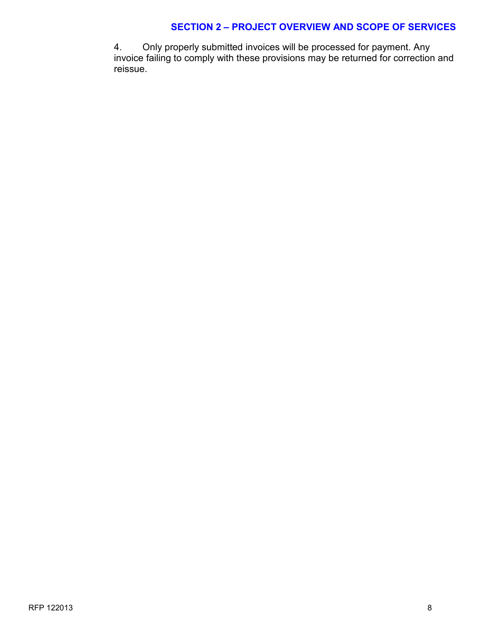4. Only properly submitted invoices will be processed for payment. Any invoice failing to comply with these provisions may be returned for correction and reissue.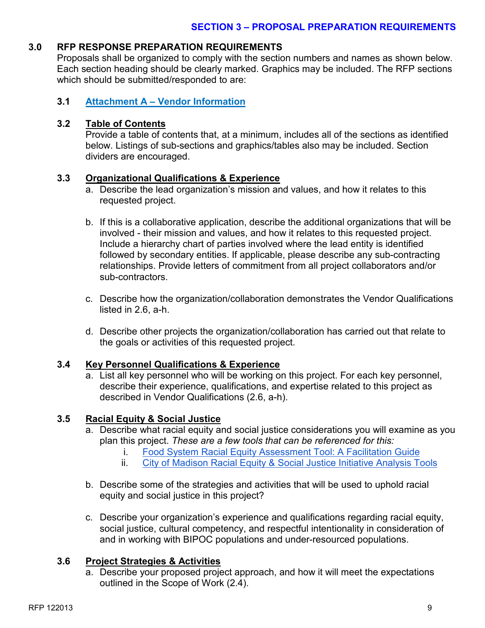# **3.0 RFP RESPONSE PREPARATION REQUIREMENTS**

Proposals shall be organized to comply with the section numbers and names as shown below. Each section heading should be clearly marked. Graphics may be included. The RFP sections which should be submitted/responded to are:

#### **3.1 Attachment A – Vendor Information**

## **3.2 Table of Contents**

Provide a table of contents that, at a minimum, includes all of the sections as identified below. Listings of sub-sections and graphics/tables also may be included. Section dividers are encouraged.

# **3.3 Organizational Qualifications & Experience**

- a. Describe the lead organization's mission and values, and how it relates to this requested project.
- b. If this is a collaborative application, describe the additional organizations that will be involved - their mission and values, and how it relates to this requested project. Include a hierarchy chart of parties involved where the lead entity is identified followed by secondary entities. If applicable, please describe any sub-contracting relationships. Provide letters of commitment from all project collaborators and/or sub-contractors.
- c. Describe how the organization/collaboration demonstrates the Vendor Qualifications listed in 2.6, a-h.
- d. Describe other projects the organization/collaboration has carried out that relate to the goals or activities of this requested project.

#### **3.4 Key Personnel Qualifications & Experience**

a. List all key personnel who will be working on this project. For each key personnel, describe their experience, qualifications, and expertise related to this project as described in Vendor Qualifications (2.6, a-h).

# **3.5 Racial Equity & Social Justice**

- a. Describe what racial equity and social justice considerations you will examine as you plan this project. *These are a few tools that can be referenced for this:*
	- i. [Food System Racial Equity Assessment Tool: A Facilitation Guide](https://learningstore.extension.wisc.edu/products/food-system-racial-equity-assessment-tool-a-facilitation-guide-p1839?_pos=1&_sid=6039966f2&_ss=r)
	- ii. [City of Madison Racial Equity & Social Justice Initiative Analysis Tools](https://www.cityofmadison.com/civil-rights/programs/racial-equity-social-justice-initiative/analysis-tools)
- b. Describe some of the strategies and activities that will be used to uphold racial equity and social justice in this project?
- c. Describe your organization's experience and qualifications regarding racial equity, social justice, cultural competency, and respectful intentionality in consideration of and in working with BIPOC populations and under-resourced populations.

# **3.6 Project Strategies & Activities**

a. Describe your proposed project approach, and how it will meet the expectations outlined in the Scope of Work (2.4).